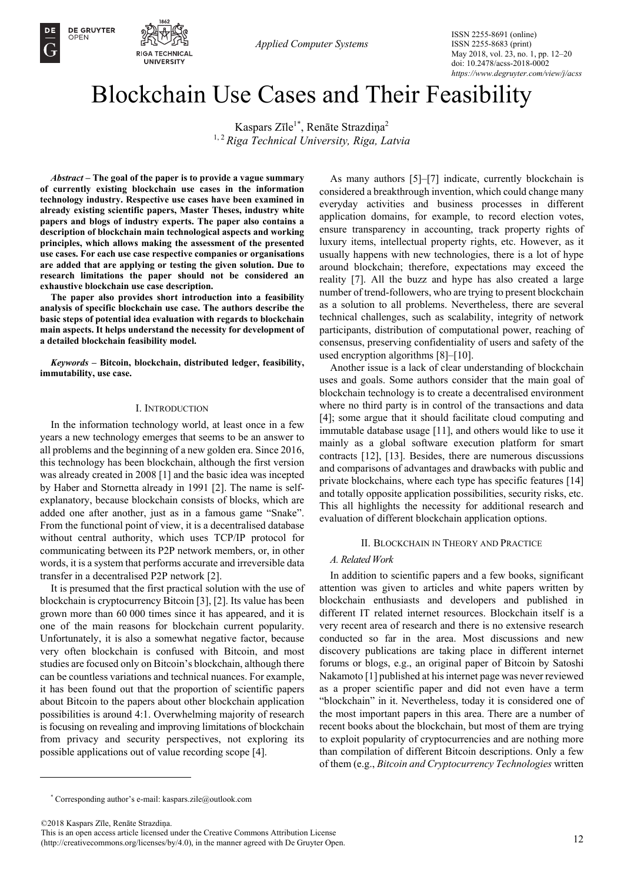

*Applied Computer Systems* 

ISSN 2255-8691 (online) ISSN 2255-8683 (print) May 2018, vol. 23, no. 1, pp. 12–20 doi: 10.2478/acss-2018-0002 *https://www.degruyter.com/view/j/acss* 

# Blockchain Use Cases and Their Feasibility

Kaspars Zīle<sup>1\*</sup>, Renāte Strazdiņa<sup>2</sup> 1, 2 *Riga Technical University, Riga, Latvia*

*Abstract –* **The goal of the paper is to provide a vague summary of currently existing blockchain use cases in the information technology industry. Respective use cases have been examined in already existing scientific papers, Master Theses, industry white papers and blogs of industry experts. The paper also contains a description of blockchain main technological aspects and working principles, which allows making the assessment of the presented use cases. For each use case respective companies or organisations are added that are applying or testing the given solution. Due to research limitations the paper should not be considered an exhaustive blockchain use case description.** 

**The paper also provides short introduction into a feasibility analysis of specific blockchain use case. The authors describe the basic steps of potential idea evaluation with regards to blockchain main aspects. It helps understand the necessity for development of a detailed blockchain feasibility model.** 

*Keywords* **– Bitcoin, blockchain, distributed ledger, feasibility, immutability, use case.** 

#### I. INTRODUCTION

In the information technology world, at least once in a few years a new technology emerges that seems to be an answer to all problems and the beginning of a new golden era. Since 2016, this technology has been blockchain, although the first version was already created in 2008 [1] and the basic idea was incepted by Haber and Stornetta already in 1991 [2]. The name is selfexplanatory, because blockchain consists of blocks, which are added one after another, just as in a famous game "Snake". From the functional point of view, it is a decentralised database without central authority, which uses TCP/IP protocol for communicating between its P2P network members, or, in other words, it is a system that performs accurate and irreversible data transfer in a decentralised P2P network [2].

It is presumed that the first practical solution with the use of blockchain is cryptocurrency Bitcoin [3], [2]. Its value has been grown more than 60 000 times since it has appeared, and it is one of the main reasons for blockchain current popularity. Unfortunately, it is also a somewhat negative factor, because very often blockchain is confused with Bitcoin, and most studies are focused only on Bitcoin's blockchain, although there can be countless variations and technical nuances. For example, it has been found out that the proportion of scientific papers about Bitcoin to the papers about other blockchain application possibilities is around 4:1. Overwhelming majority of research is focusing on revealing and improving limitations of blockchain from privacy and security perspectives, not exploring its possible applications out of value recording scope [4].

As many authors [5]–[7] indicate, currently blockchain is considered a breakthrough invention, which could change many everyday activities and business processes in different application domains, for example, to record election votes, ensure transparency in accounting, track property rights of luxury items, intellectual property rights, etc. However, as it usually happens with new technologies, there is a lot of hype around blockchain; therefore, expectations may exceed the reality [7]. All the buzz and hype has also created a large number of trend-followers, who are trying to present blockchain as a solution to all problems. Nevertheless, there are several technical challenges, such as scalability, integrity of network participants, distribution of computational power, reaching of consensus, preserving confidentiality of users and safety of the used encryption algorithms [8]–[10].

Another issue is a lack of clear understanding of blockchain uses and goals. Some authors consider that the main goal of blockchain technology is to create a decentralised environment where no third party is in control of the transactions and data [4]; some argue that it should facilitate cloud computing and immutable database usage [11], and others would like to use it mainly as a global software execution platform for smart contracts [12], [13]. Besides, there are numerous discussions and comparisons of advantages and drawbacks with public and private blockchains, where each type has specific features [14] and totally opposite application possibilities, security risks, etc. This all highlights the necessity for additional research and evaluation of different blockchain application options.

## II. BLOCKCHAIN IN THEORY AND PRACTICE

#### *A. Related Work*

In addition to scientific papers and a few books, significant attention was given to articles and white papers written by blockchain enthusiasts and developers and published in different IT related internet resources. Blockchain itself is a very recent area of research and there is no extensive research conducted so far in the area. Most discussions and new discovery publications are taking place in different internet forums or blogs, e.g., an original paper of Bitcoin by Satoshi Nakamoto [1] published at his internet page was never reviewed as a proper scientific paper and did not even have a term "blockchain" in it. Nevertheless, today it is considered one of the most important papers in this area. There are a number of recent books about the blockchain, but most of them are trying to exploit popularity of cryptocurrencies and are nothing more than compilation of different Bitcoin descriptions. Only a few of them (e.g., *Bitcoin and Cryptocurrency Technologies* written

©2018 Kaspars Zīle, Renāte Strazdiņa.

1

This is an open access article licensed under the Creative Commons Attribution License (http://creativecommons.org/licenses/by/4.0), in the manner agreed with De Gruyter Open.

<sup>\*</sup> Corresponding author's e-mail: kaspars.zile@outlook.com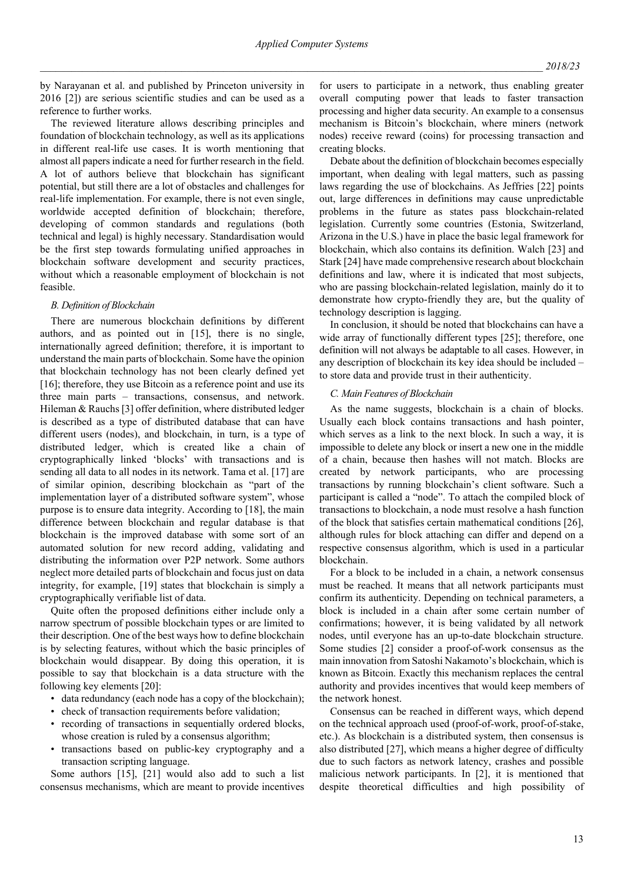by Narayanan et al. and published by Princeton university in 2016 [2]) are serious scientific studies and can be used as a reference to further works.

The reviewed literature allows describing principles and foundation of blockchain technology, as well as its applications in different real-life use cases. It is worth mentioning that almost all papers indicate a need for further research in the field. A lot of authors believe that blockchain has significant potential, but still there are a lot of obstacles and challenges for real-life implementation. For example, there is not even single, worldwide accepted definition of blockchain; therefore, developing of common standards and regulations (both technical and legal) is highly necessary. Standardisation would be the first step towards formulating unified approaches in blockchain software development and security practices, without which a reasonable employment of blockchain is not feasible.

# *B. Definition of Blockchain*

There are numerous blockchain definitions by different authors, and as pointed out in [15], there is no single, internationally agreed definition; therefore, it is important to understand the main parts of blockchain. Some have the opinion that blockchain technology has not been clearly defined yet [16]; therefore, they use Bitcoin as a reference point and use its three main parts – transactions, consensus, and network. Hileman & Rauchs [3] offer definition, where distributed ledger is described as a type of distributed database that can have different users (nodes), and blockchain, in turn, is a type of distributed ledger, which is created like a chain of cryptographically linked 'blocks' with transactions and is sending all data to all nodes in its network. Tama et al. [17] are of similar opinion, describing blockchain as "part of the implementation layer of a distributed software system", whose purpose is to ensure data integrity. According to [18], the main difference between blockchain and regular database is that blockchain is the improved database with some sort of an automated solution for new record adding, validating and distributing the information over P2P network. Some authors neglect more detailed parts of blockchain and focus just on data integrity, for example, [19] states that blockchain is simply a cryptographically verifiable list of data.

Quite often the proposed definitions either include only a narrow spectrum of possible blockchain types or are limited to their description. One of the best ways how to define blockchain is by selecting features, without which the basic principles of blockchain would disappear. By doing this operation, it is possible to say that blockchain is a data structure with the following key elements [20]:

- data redundancy (each node has a copy of the blockchain);
- check of transaction requirements before validation;
- recording of transactions in sequentially ordered blocks, whose creation is ruled by a consensus algorithm;
- transactions based on public-key cryptography and a transaction scripting language.

Some authors [15], [21] would also add to such a list consensus mechanisms, which are meant to provide incentives for users to participate in a network, thus enabling greater overall computing power that leads to faster transaction processing and higher data security. An example to a consensus mechanism is Bitcoin's blockchain, where miners (network nodes) receive reward (coins) for processing transaction and creating blocks.

Debate about the definition of blockchain becomes especially important, when dealing with legal matters, such as passing laws regarding the use of blockchains. As Jeffries [22] points out, large differences in definitions may cause unpredictable problems in the future as states pass blockchain-related legislation. Currently some countries (Estonia, Switzerland, Arizona in the U.S.) have in place the basic legal framework for blockchain, which also contains its definition. Walch [23] and Stark [24] have made comprehensive research about blockchain definitions and law, where it is indicated that most subjects, who are passing blockchain-related legislation, mainly do it to demonstrate how crypto-friendly they are, but the quality of technology description is lagging.

In conclusion, it should be noted that blockchains can have a wide array of functionally different types [25]; therefore, one definition will not always be adaptable to all cases. However, in any description of blockchain its key idea should be included – to store data and provide trust in their authenticity.

# *C. Main Features of Blockchain*

As the name suggests, blockchain is a chain of blocks. Usually each block contains transactions and hash pointer, which serves as a link to the next block. In such a way, it is impossible to delete any block or insert a new one in the middle of a chain, because then hashes will not match. Blocks are created by network participants, who are processing transactions by running blockchain's client software. Such a participant is called a "node". To attach the compiled block of transactions to blockchain, a node must resolve a hash function of the block that satisfies certain mathematical conditions [26], although rules for block attaching can differ and depend on a respective consensus algorithm, which is used in a particular blockchain.

For a block to be included in a chain, a network consensus must be reached. It means that all network participants must confirm its authenticity. Depending on technical parameters, a block is included in a chain after some certain number of confirmations; however, it is being validated by all network nodes, until everyone has an up-to-date blockchain structure. Some studies [2] consider a proof-of-work consensus as the main innovation from Satoshi Nakamoto's blockchain, which is known as Bitcoin. Exactly this mechanism replaces the central authority and provides incentives that would keep members of the network honest.

Consensus can be reached in different ways, which depend on the technical approach used (proof-of-work, proof-of-stake, etc.). As blockchain is a distributed system, then consensus is also distributed [27], which means a higher degree of difficulty due to such factors as network latency, crashes and possible malicious network participants. In [2], it is mentioned that despite theoretical difficulties and high possibility of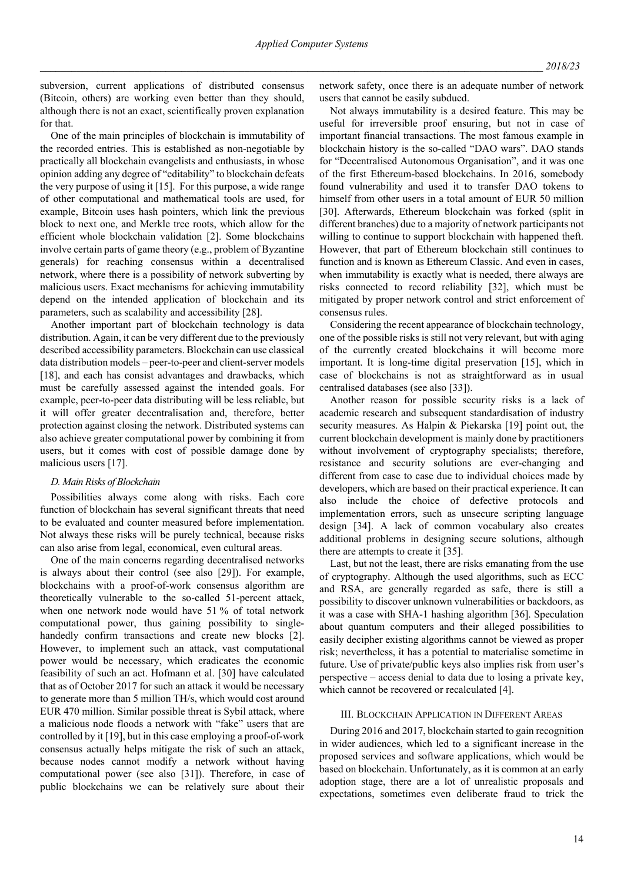subversion, current applications of distributed consensus (Bitcoin, others) are working even better than they should, although there is not an exact, scientifically proven explanation for that.

One of the main principles of blockchain is immutability of the recorded entries. This is established as non-negotiable by practically all blockchain evangelists and enthusiasts, in whose opinion adding any degree of "editability" to blockchain defeats the very purpose of using it [15]. For this purpose, a wide range of other computational and mathematical tools are used, for example, Bitcoin uses hash pointers, which link the previous block to next one, and Merkle tree roots, which allow for the efficient whole blockchain validation [2]. Some blockchains involve certain parts of game theory (e.g., problem of Byzantine generals) for reaching consensus within a decentralised network, where there is a possibility of network subverting by malicious users. Exact mechanisms for achieving immutability depend on the intended application of blockchain and its parameters, such as scalability and accessibility [28].

Another important part of blockchain technology is data distribution. Again, it can be very different due to the previously described accessibility parameters. Blockchain can use classical data distribution models – peer-to-peer and client-server models [18], and each has consist advantages and drawbacks, which must be carefully assessed against the intended goals. For example, peer-to-peer data distributing will be less reliable, but it will offer greater decentralisation and, therefore, better protection against closing the network. Distributed systems can also achieve greater computational power by combining it from users, but it comes with cost of possible damage done by malicious users [17].

# *D. Main Risks of Blockchain*

Possibilities always come along with risks. Each core function of blockchain has several significant threats that need to be evaluated and counter measured before implementation. Not always these risks will be purely technical, because risks can also arise from legal, economical, even cultural areas.

One of the main concerns regarding decentralised networks is always about their control (see also [29]). For example, blockchains with a proof-of-work consensus algorithm are theoretically vulnerable to the so-called 51-percent attack, when one network node would have 51 % of total network computational power, thus gaining possibility to singlehandedly confirm transactions and create new blocks [2]. However, to implement such an attack, vast computational power would be necessary, which eradicates the economic feasibility of such an act. Hofmann et al. [30] have calculated that as of October 2017 for such an attack it would be necessary to generate more than 5 million TH/s, which would cost around EUR 470 million. Similar possible threat is Sybil attack, where a malicious node floods a network with "fake" users that are controlled by it [19], but in this case employing a proof-of-work consensus actually helps mitigate the risk of such an attack, because nodes cannot modify a network without having computational power (see also [31]). Therefore, in case of public blockchains we can be relatively sure about their

network safety, once there is an adequate number of network users that cannot be easily subdued.

Not always immutability is a desired feature. This may be useful for irreversible proof ensuring, but not in case of important financial transactions. The most famous example in blockchain history is the so-called "DAO wars". DAO stands for "Decentralised Autonomous Organisation", and it was one of the first Ethereum-based blockchains. In 2016, somebody found vulnerability and used it to transfer DAO tokens to himself from other users in a total amount of EUR 50 million [30]. Afterwards, Ethereum blockchain was forked (split in different branches) due to a majority of network participants not willing to continue to support blockchain with happened theft. However, that part of Ethereum blockchain still continues to function and is known as Ethereum Classic. And even in cases, when immutability is exactly what is needed, there always are risks connected to record reliability [32], which must be mitigated by proper network control and strict enforcement of consensus rules.

Considering the recent appearance of blockchain technology, one of the possible risks is still not very relevant, but with aging of the currently created blockchains it will become more important. It is long-time digital preservation [15], which in case of blockchains is not as straightforward as in usual centralised databases (see also [33]).

Another reason for possible security risks is a lack of academic research and subsequent standardisation of industry security measures. As Halpin & Piekarska [19] point out, the current blockchain development is mainly done by practitioners without involvement of cryptography specialists; therefore, resistance and security solutions are ever-changing and different from case to case due to individual choices made by developers, which are based on their practical experience. It can also include the choice of defective protocols and implementation errors, such as unsecure scripting language design [34]. A lack of common vocabulary also creates additional problems in designing secure solutions, although there are attempts to create it [35].

Last, but not the least, there are risks emanating from the use of cryptography. Although the used algorithms, such as ECC and RSA, are generally regarded as safe, there is still a possibility to discover unknown vulnerabilities or backdoors, as it was a case with SHA-1 hashing algorithm [36]. Speculation about quantum computers and their alleged possibilities to easily decipher existing algorithms cannot be viewed as proper risk; nevertheless, it has a potential to materialise sometime in future. Use of private/public keys also implies risk from user's perspective – access denial to data due to losing a private key, which cannot be recovered or recalculated [4].

#### III. BLOCKCHAIN APPLICATION IN DIFFERENT AREAS

During 2016 and 2017, blockchain started to gain recognition in wider audiences, which led to a significant increase in the proposed services and software applications, which would be based on blockchain. Unfortunately, as it is common at an early adoption stage, there are a lot of unrealistic proposals and expectations, sometimes even deliberate fraud to trick the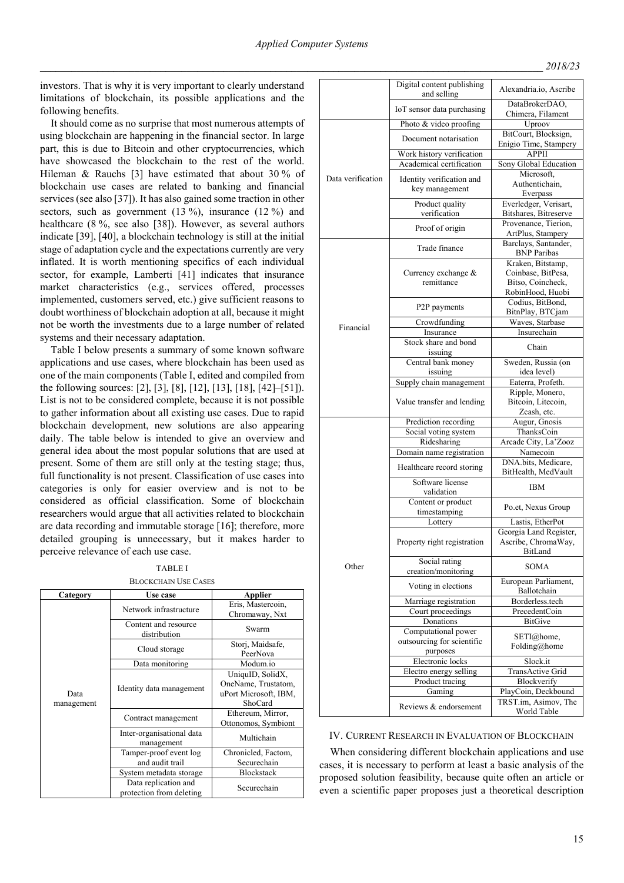investors. That is why it is very important to clearly understand limitations of blockchain, its possible applications and the following benefits.

It should come as no surprise that most numerous attempts of using blockchain are happening in the financial sector. In large part, this is due to Bitcoin and other cryptocurrencies, which have showcased the blockchain to the rest of the world. Hileman & Rauchs [3] have estimated that about 30 % of blockchain use cases are related to banking and financial services (see also [37]). It has also gained some traction in other sectors, such as government  $(13 \%)$ , insurance  $(12 \%)$  and healthcare (8 %, see also [38]). However, as several authors indicate [39], [40], a blockchain technology is still at the initial stage of adaptation cycle and the expectations currently are very inflated. It is worth mentioning specifics of each individual sector, for example, Lamberti [41] indicates that insurance market characteristics (e.g., services offered, processes implemented, customers served, etc.) give sufficient reasons to doubt worthiness of blockchain adoption at all, because it might not be worth the investments due to a large number of related systems and their necessary adaptation.

Table I below presents a summary of some known software applications and use cases, where blockchain has been used as one of the main components (Table I, edited and compiled from the following sources: [2], [3], [8], [12], [13], [18], [42]–[51]). List is not to be considered complete, because it is not possible to gather information about all existing use cases. Due to rapid blockchain development, new solutions are also appearing daily. The table below is intended to give an overview and general idea about the most popular solutions that are used at present. Some of them are still only at the testing stage; thus, full functionality is not present. Classification of use cases into categories is only for easier overview and is not to be considered as official classification. Some of blockchain researchers would argue that all activities related to blockchain are data recording and immutable storage [16]; therefore, more detailed grouping is unnecessary, but it makes harder to perceive relevance of each use case.

| <b>TABLE I</b>              |
|-----------------------------|
| <b>BLOCKCHAIN USE CASES</b> |

| Category           | Use case                                         | Applier                                                                     |  |  |
|--------------------|--------------------------------------------------|-----------------------------------------------------------------------------|--|--|
| Data<br>management | Network infrastructure                           | Eris, Mastercoin,<br>Chromaway, Nxt                                         |  |  |
|                    | Content and resource<br>distribution             | Swarm                                                                       |  |  |
|                    | Cloud storage                                    | Storj, Maidsafe,<br>PeerNova                                                |  |  |
|                    | Data monitoring                                  | Modum.io                                                                    |  |  |
|                    | Identity data management                         | UniquID, SolidX,<br>OneName, Trustatom,<br>uPort Microsoft, IBM,<br>ShoCard |  |  |
|                    | Contract management                              | Ethereum, Mirror,<br>Ottonomos, Symbiont                                    |  |  |
|                    | Inter-organisational data<br>management          | Multichain                                                                  |  |  |
|                    | Tamper-proof event log                           | Chronicled, Factom,                                                         |  |  |
|                    | and audit trail                                  | Securechain                                                                 |  |  |
|                    | System metadata storage                          | <b>Blockstack</b>                                                           |  |  |
|                    | Data replication and<br>protection from deleting | Securechain                                                                 |  |  |

|                   | Digital content publishing<br>and selling | Alexandria.io, Ascribe                                   |
|-------------------|-------------------------------------------|----------------------------------------------------------|
|                   | IoT sensor data purchasing                | DataBrokerDAO,<br>Chimera, Filament                      |
|                   | Photo & video proofing                    | Uproov                                                   |
| Data verification | Document notarisation                     | BitCourt, Blocksign,                                     |
|                   | Work history verification                 | Enigio Time, Stampery<br><b>APPII</b>                    |
|                   | Academical certification                  | Sony Global Education                                    |
|                   |                                           | Microsoft,                                               |
|                   | Identity verification and                 | Authentichain,                                           |
|                   | key management                            | Everpass                                                 |
|                   | Product quality                           | Everledger, Verisart,                                    |
|                   | verification                              | Bitshares, Bitreserve                                    |
|                   | Proof of origin                           | Provenance, Tierion,                                     |
|                   |                                           | ArtPlus, Stampery                                        |
|                   | Trade finance                             | Barclays, Santander,<br><b>BNP</b> Paribas               |
|                   |                                           | Kraken, Bitstamp,                                        |
|                   | Currency exchange &                       | Coinbase, BitPesa,                                       |
|                   | remittance                                | Bitso, Coincheck.                                        |
|                   |                                           | RobinHood, Huobi                                         |
|                   |                                           | Codius, BitBond,                                         |
|                   | P2P payments                              | BitnPlay, BTCjam                                         |
| Financial         | Crowdfunding                              | Waves, Starbase                                          |
|                   | Insurance                                 | Insurechain                                              |
|                   | Stock share and bond                      | Chain                                                    |
|                   | issuing                                   |                                                          |
|                   | Central bank money<br>issuing             | Sweden, Russia (on<br>idea level)                        |
|                   | Supply chain management                   | Eaterra, Profeth.                                        |
|                   |                                           | Ripple, Monero,                                          |
|                   | Value transfer and lending                | Bitcoin, Litecoin,                                       |
|                   |                                           | Zcash, etc.                                              |
|                   | Prediction recording                      | Augur, Gnosis                                            |
|                   | Social voting system                      | ThanksCoin                                               |
|                   | Ridesharing                               | Arcade City, La'Zooz                                     |
|                   | Domain name registration                  | Namecoin                                                 |
|                   |                                           | DNA.bits, Medicare,                                      |
| Other             | Healthcare record storing                 | BitHealth, MedVault                                      |
|                   | Software license                          | <b>IBM</b>                                               |
|                   | validation                                |                                                          |
|                   | Content or product                        | Po.et, Nexus Group                                       |
|                   | timestamping                              |                                                          |
|                   | Lottery                                   | Lastis, EtherPot                                         |
|                   | Property right registration               | Georgia Land Register,<br>Ascribe, ChromaWay,<br>BitLand |
|                   | Social rating<br>creation/monitoring      | <b>SOMA</b>                                              |
|                   | Voting in elections                       | European Parliament,<br>Ballotchain                      |
|                   | Marriage registration                     | Borderless.tech                                          |
|                   | Court proceedings                         | PrecedentCoin                                            |
|                   | Donations                                 | <b>BitGive</b>                                           |
|                   | Computational power                       |                                                          |
|                   | outsourcing for scientific                | SETI@home,                                               |
|                   | purposes                                  | Folding@home                                             |
|                   | Electronic locks                          | Slock.it                                                 |
|                   | Electro energy selling                    | TransActive Grid                                         |
|                   | Product tracing                           | Blockverify                                              |
|                   | Gaming                                    | PlayCoin, Deckbound                                      |
|                   | Reviews & endorsement                     | TRST.im, Asimov, The                                     |
|                   |                                           | World Table                                              |

## IV. CURRENT RESEARCH IN EVALUATION OF BLOCKCHAIN

When considering different blockchain applications and use cases, it is necessary to perform at least a basic analysis of the proposed solution feasibility, because quite often an article or even a scientific paper proposes just a theoretical description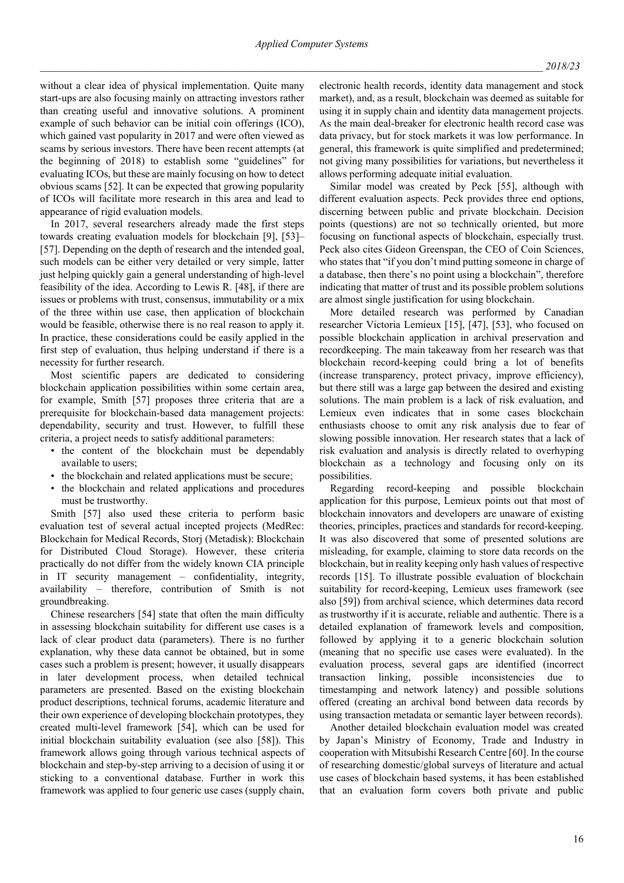without a clear idea of physical implementation. Quite many start-ups are also focusing mainly on attracting investors rather than creating useful and innovative solutions. A prominent example of such behavior can be initial coin offerings (ICO), which gained vast popularity in 2017 and were often viewed as scams by serious investors. There have been recent attempts (at the beginning of 2018) to establish some "guidelines" for evaluating ICOs, but these are mainly focusing on how to detect obvious scams [52]. It can be expected that growing popularity of ICOs will facilitate more research in this area and lead to appearance of rigid evaluation models.

In 2017, several researchers already made the first steps towards creating evaluation models for blockchain [9], [53]– [57]. Depending on the depth of research and the intended goal, such models can be either very detailed or very simple, latter just helping quickly gain a general understanding of high-level feasibility of the idea. According to Lewis R. [48], if there are issues or problems with trust, consensus, immutability or a mix of the three within use case, then application of blockchain would be feasible, otherwise there is no real reason to apply it. In practice, these considerations could be easily applied in the first step of evaluation, thus helping understand if there is a necessity for further research.

Most scientific papers are dedicated to considering blockchain application possibilities within some certain area, for example, Smith [57] proposes three criteria that are a prerequisite for blockchain-based data management projects: dependability, security and trust. However, to fulfill these criteria, a project needs to satisfy additional parameters:

- the content of the blockchain must be dependably available to users;
- the blockchain and related applications must be secure;
- the blockchain and related applications and procedures must be trustworthy.

Smith [57] also used these criteria to perform basic evaluation test of several actual incepted projects (MedRec: Blockchain for Medical Records, Storj (Metadisk): Blockchain for Distributed Cloud Storage). However, these criteria practically do not differ from the widely known CIA principle in IT security management – confidentiality, integrity, availability – therefore, contribution of Smith is not groundbreaking.

Chinese researchers [54] state that often the main difficulty in assessing blockchain suitability for different use cases is a lack of clear product data (parameters). There is no further explanation, why these data cannot be obtained, but in some cases such a problem is present; however, it usually disappears in later development process, when detailed technical parameters are presented. Based on the existing blockchain product descriptions, technical forums, academic literature and their own experience of developing blockchain prototypes, they created multi-level framework [54], which can be used for initial blockchain suitability evaluation (see also [58]). This framework allows going through various technical aspects of blockchain and step-by-step arriving to a decision of using it or sticking to a conventional database. Further in work this framework was applied to four generic use cases (supply chain,

electronic health records, identity data management and stock market), and, as a result, blockchain was deemed as suitable for using it in supply chain and identity data management projects. As the main deal-breaker for electronic health record case was data privacy, but for stock markets it was low performance. In general, this framework is quite simplified and predetermined; not giving many possibilities for variations, but nevertheless it allows performing adequate initial evaluation.

Similar model was created by Peck [55], although with different evaluation aspects. Peck provides three end options, discerning between public and private blockchain. Decision points (questions) are not so technically oriented, but more focusing on functional aspects of blockchain, especially trust. Peck also cites Gideon Greenspan, the CEO of Coin Sciences, who states that "if you don't mind putting someone in charge of a database, then there's no point using a blockchain", therefore indicating that matter of trust and its possible problem solutions are almost single justification for using blockchain.

More detailed research was performed by Canadian researcher Victoria Lemieux [15], [47], [53], who focused on possible blockchain application in archival preservation and recordkeeping. The main takeaway from her research was that blockchain record-keeping could bring a lot of benefits (increase transparency, protect privacy, improve efficiency), but there still was a large gap between the desired and existing solutions. The main problem is a lack of risk evaluation, and Lemieux even indicates that in some cases blockchain enthusiasts choose to omit any risk analysis due to fear of slowing possible innovation. Her research states that a lack of risk evaluation and analysis is directly related to overhyping blockchain as a technology and focusing only on its possibilities.

Regarding record-keeping and possible blockchain application for this purpose, Lemieux points out that most of blockchain innovators and developers are unaware of existing theories, principles, practices and standards for record-keeping. It was also discovered that some of presented solutions are misleading, for example, claiming to store data records on the blockchain, but in reality keeping only hash values of respective records [15]. To illustrate possible evaluation of blockchain suitability for record-keeping, Lemieux uses framework (see also [59]) from archival science, which determines data record as trustworthy if it is accurate, reliable and authentic. There is a detailed explanation of framework levels and composition, followed by applying it to a generic blockchain solution (meaning that no specific use cases were evaluated). In the evaluation process, several gaps are identified (incorrect transaction linking, possible inconsistencies due to timestamping and network latency) and possible solutions offered (creating an archival bond between data records by using transaction metadata or semantic layer between records).

Another detailed blockchain evaluation model was created by Japan's Ministry of Economy, Trade and Industry in cooperation with Mitsubishi Research Centre [60]. In the course of researching domestic/global surveys of literature and actual use cases of blockchain based systems, it has been established that an evaluation form covers both private and public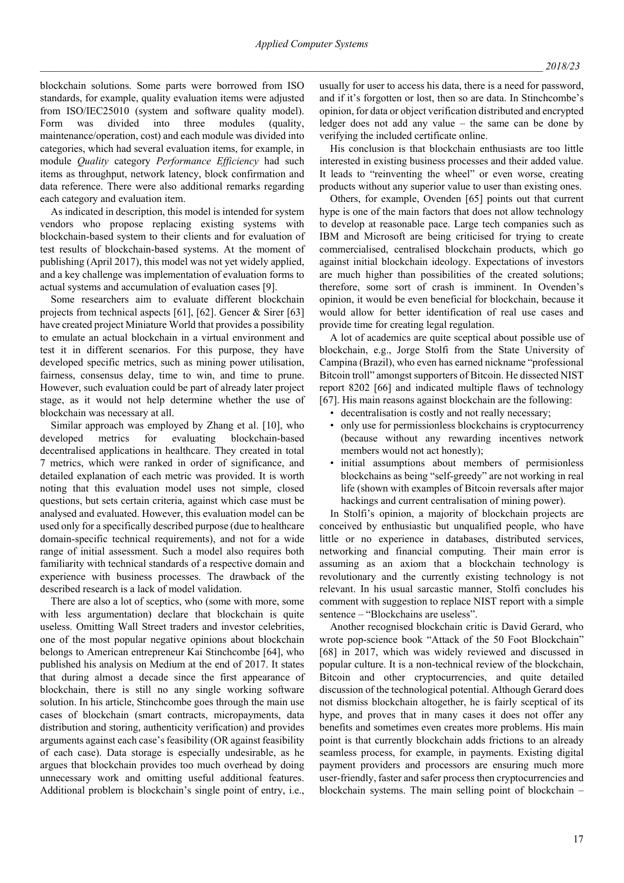blockchain solutions. Some parts were borrowed from ISO standards, for example, quality evaluation items were adjusted from ISO/IEC25010 (system and software quality model). Form was divided into three modules (quality, maintenance/operation, cost) and each module was divided into categories, which had several evaluation items, for example, in module *Quality* category *Performance Efficiency* had such items as throughput, network latency, block confirmation and data reference. There were also additional remarks regarding each category and evaluation item.

As indicated in description, this model is intended for system vendors who propose replacing existing systems with blockchain-based system to their clients and for evaluation of test results of blockchain-based systems. At the moment of publishing (April 2017), this model was not yet widely applied, and a key challenge was implementation of evaluation forms to actual systems and accumulation of evaluation cases [9].

Some researchers aim to evaluate different blockchain projects from technical aspects [61], [62]. Gencer & Sirer [63] have created project Miniature World that provides a possibility to emulate an actual blockchain in a virtual environment and test it in different scenarios. For this purpose, they have developed specific metrics, such as mining power utilisation, fairness, consensus delay, time to win, and time to prune. However, such evaluation could be part of already later project stage, as it would not help determine whether the use of blockchain was necessary at all.

Similar approach was employed by Zhang et al. [10], who developed metrics for evaluating blockchain-based decentralised applications in healthcare. They created in total 7 metrics, which were ranked in order of significance, and detailed explanation of each metric was provided. It is worth noting that this evaluation model uses not simple, closed questions, but sets certain criteria, against which case must be analysed and evaluated. However, this evaluation model can be used only for a specifically described purpose (due to healthcare domain-specific technical requirements), and not for a wide range of initial assessment. Such a model also requires both familiarity with technical standards of a respective domain and experience with business processes. The drawback of the described research is a lack of model validation.

There are also a lot of sceptics, who (some with more, some with less argumentation) declare that blockchain is quite useless. Omitting Wall Street traders and investor celebrities, one of the most popular negative opinions about blockchain belongs to American entrepreneur Kai Stinchcombe [64], who published his analysis on Medium at the end of 2017. It states that during almost a decade since the first appearance of blockchain, there is still no any single working software solution. In his article, Stinchcombe goes through the main use cases of blockchain (smart contracts, micropayments, data distribution and storing, authenticity verification) and provides arguments against each case's feasibility (OR against feasibility of each case). Data storage is especially undesirable, as he argues that blockchain provides too much overhead by doing unnecessary work and omitting useful additional features. Additional problem is blockchain's single point of entry, i.e., usually for user to access his data, there is a need for password, and if it's forgotten or lost, then so are data. In Stinchcombe's opinion, for data or object verification distributed and encrypted ledger does not add any value – the same can be done by verifying the included certificate online.

His conclusion is that blockchain enthusiasts are too little interested in existing business processes and their added value. It leads to "reinventing the wheel" or even worse, creating products without any superior value to user than existing ones.

Others, for example, Ovenden [65] points out that current hype is one of the main factors that does not allow technology to develop at reasonable pace. Large tech companies such as IBM and Microsoft are being criticised for trying to create commercialised, centralised blockchain products, which go against initial blockchain ideology. Expectations of investors are much higher than possibilities of the created solutions; therefore, some sort of crash is imminent. In Ovenden's opinion, it would be even beneficial for blockchain, because it would allow for better identification of real use cases and provide time for creating legal regulation.

A lot of academics are quite sceptical about possible use of blockchain, e.g., Jorge Stolfi from the State University of Campina (Brazil), who even has earned nickname "professional Bitcoin troll" amongst supporters of Bitcoin. He dissected NIST report 8202 [66] and indicated multiple flaws of technology [67]. His main reasons against blockchain are the following:

- decentralisation is costly and not really necessary;
- only use for permissionless blockchains is cryptocurrency (because without any rewarding incentives network members would not act honestly);
- initial assumptions about members of permisionless blockchains as being "self-greedy" are not working in real life (shown with examples of Bitcoin reversals after major hackings and current centralisation of mining power).

In Stolfi's opinion, a majority of blockchain projects are conceived by enthusiastic but unqualified people, who have little or no experience in databases, distributed services, networking and financial computing. Their main error is assuming as an axiom that a blockchain technology is revolutionary and the currently existing technology is not relevant. In his usual sarcastic manner, Stolfi concludes his comment with suggestion to replace NIST report with a simple sentence – "Blockchains are useless".

Another recognised blockchain critic is David Gerard, who wrote pop-science book "Attack of the 50 Foot Blockchain" [68] in 2017, which was widely reviewed and discussed in popular culture. It is a non-technical review of the blockchain, Bitcoin and other cryptocurrencies, and quite detailed discussion of the technological potential. Although Gerard does not dismiss blockchain altogether, he is fairly sceptical of its hype, and proves that in many cases it does not offer any benefits and sometimes even creates more problems. His main point is that currently blockchain adds frictions to an already seamless process, for example, in payments. Existing digital payment providers and processors are ensuring much more user-friendly, faster and safer process then cryptocurrencies and blockchain systems. The main selling point of blockchain –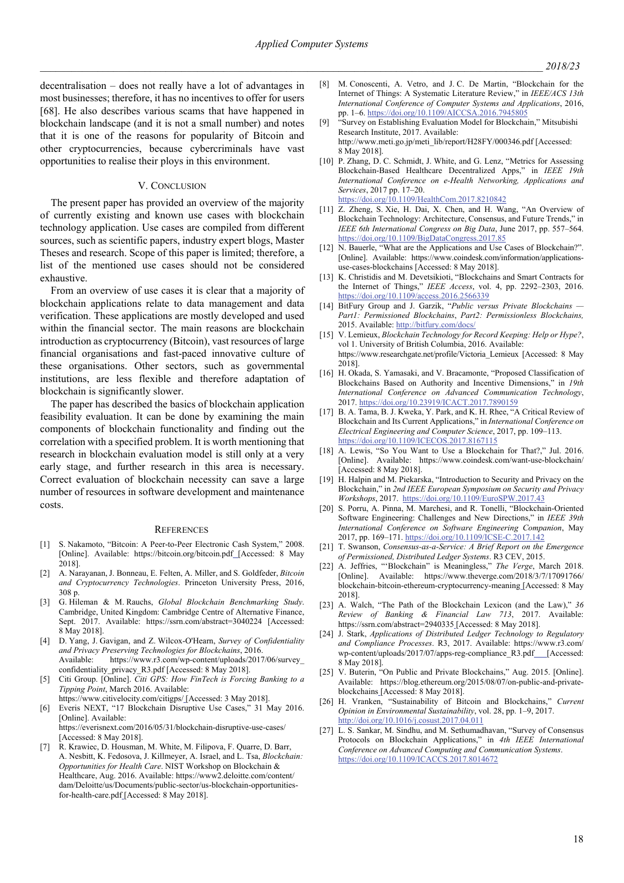decentralisation – does not really have a lot of advantages in most businesses; therefore, it has no incentives to offer for users [68]. He also describes various scams that have happened in blockchain landscape (and it is not a small number) and notes that it is one of the reasons for popularity of Bitcoin and other cryptocurrencies, because cybercriminals have vast opportunities to realise their ploys in this environment.

# V. CONCLUSION

The present paper has provided an overview of the majority of currently existing and known use cases with blockchain technology application. Use cases are compiled from different sources, such as scientific papers, industry expert blogs, Master Theses and research. Scope of this paper is limited; therefore, a list of the mentioned use cases should not be considered exhaustive.

From an overview of use cases it is clear that a majority of blockchain applications relate to data management and data verification. These applications are mostly developed and used within the financial sector. The main reasons are blockchain introduction as cryptocurrency (Bitcoin), vast resources of large financial organisations and fast-paced innovative culture of these organisations. Other sectors, such as governmental institutions, are less flexible and therefore adaptation of blockchain is significantly slower.

The paper has described the basics of blockchain application feasibility evaluation. It can be done by examining the main components of blockchain functionality and finding out the correlation with a specified problem. It is worth mentioning that research in blockchain evaluation model is still only at a very early stage, and further research in this area is necessary. Correct evaluation of blockchain necessity can save a large number of resources in software development and maintenance costs.

#### **REFERENCES**

- [1] S. Nakamoto, "Bitcoin: A Peer-to-Peer Electronic Cash System," 2008. [Online]. Available: https://bitcoin.org/bitcoin.pdf\_[Accessed: 8 May 2018].
- [2] A. Narayanan, J. Bonneau, E. Felten, A. Miller, and S. Goldfeder, *Bitcoin and Cryptocurrency Technologies*. Princeton University Press, 2016, 308 p.
- [3] G. Hileman & M. Rauchs, *Global Blockchain Benchmarking Study*. Cambridge, United Kingdom: Cambridge Centre of Alternative Finance, Sept. 2017. Available: https://ssrn.com/abstract=3040224 [Accessed: 8 May 2018].
- [4] D. Yang, J. Gavigan, and Z. Wilcox-O'Hearn, *Survey of Confidentiality and Privacy Preserving Technologies for Blockchains*, 2016. Available: https://www.r3.com/wp-content/uploads/2017/06/survey\_ confidentiality\_privacy\_R3.pdf [Accessed: 8 May 2018].
- [5] Citi Group. [Online]. *Citi GPS: How FinTech is Forcing Banking to a Tipping Point*, March 2016. Available:
- https://www.citivelocity.com/citigps/ [Accessed: 3 May 2018]. [6] Everis NEXT, "17 Blockchain Disruptive Use Cases," 31 May 2016. [Online]. Available: https://everisnext.com/2016/05/31/blockchain-disruptive-use-cases/ [Accessed: 8 May 2018].
- [7] R. Krawiec, D. Housman, M. White, M. Filipova, F. Quarre, D. Barr, A. Nesbitt, K. Fedosova, J. Killmeyer, A. Israel, and L. Tsa, *Blockchain: Opportunities for Health Care*. NIST Workshop on Blockchain & Healthcare, Aug. 2016. Available: https://www2.deloitte.com/content/ dam/Deloitte/us/Documents/public-sector/us-blockchain-opportunitiesfor-health-care.pdf [Accessed: 8 May 2018].
- [8] M. Conoscenti, A. Vetro, and J. C. De Martin, "Blockchain for the Internet of Things: A Systematic Literature Review," in *IEEE/ACS 13th International Conference of Computer Systems and Applications*, 2016, pp. 1–6. https://doi.org/10.1109/AICCSA.2016.7945805
- [9] "Survey on Establishing Evaluation Model for Blockchain," Mitsubishi Research Institute, 2017. Available: http://www.meti.go.jp/meti\_lib/report/H28FY/000346.pdf [Accessed: 8 May 2018].
- [10] P. Zhang, D. C. Schmidt, J. White, and G. Lenz, "Metrics for Assessing Blockchain-Based Healthcare Decentralized Apps," in *IEEE 19th International Conference on e-Health Networking, Applications and Services*, 2017 pp. 17–20. https://doi.org/10.1109/HealthCom.2017.8210842
- [11] Z. Zheng, S. Xie, H. Dai, X. Chen, and H. Wang, "An Overview of Blockchain Technology: Architecture, Consensus, and Future Trends," in *IEEE 6th International Congress on Big Data*, June 2017, pp. 557–564. https://doi.org/10.1109/BigDataCongress.2017.85
- [12] N. Bauerle, "What are the Applications and Use Cases of Blockchain?". [Online]. Available: https://www.coindesk.com/information/applicationsuse-cases-blockchains [Accessed: 8 May 2018].
- [13] K. Christidis and M. Devetsikioti, "Blockchains and Smart Contracts for the Internet of Things," *IEEE Access*, vol. 4, pp. 2292–2303, 2016. https://doi.org/10.1109/access.2016.2566339
- [14] BitFury Group and J. Garzik, "*Public versus Private Blockchains Part1: Permissioned Blockchains*, *Part2: Permissionless Blockchains,* 2015. Available: http://bitfury.com/docs/
- [15] V. Lemieux, *Blockchain Technology for Record Keeping: Help or Hype?*, vol 1. University of British Columbia, 2016. Available: https://www.researchgate.net/profile/Victoria\_Lemieux [Accessed: 8 May 2018].
- [16] H. Okada, S. Yamasaki, and V. Bracamonte, "Proposed Classification of Blockchains Based on Authority and Incentive Dimensions," in *19th International Conference on Advanced Communication Technology*, 2017. https://doi.org/10.23919/ICACT.2017.7890159
- [17] B. A. Tama, B. J. Kweka, Y. Park, and K. H. Rhee, "A Critical Review of Blockchain and Its Current Applications," in *International Conference on Electrical Engineering and Computer Science*, 2017, pp. 109–113. https://doi.org/10.1109/ICECOS.2017.8167115
- [18] A. Lewis, "So You Want to Use a Blockchain for That?," Jul. 2016. [Online]. Available: https://www.coindesk.com/want-use-blockchain/ [Accessed: 8 May 2018].
- [19] H. Halpin and M. Piekarska, "Introduction to Security and Privacy on the Blockchain," in *2nd IEEE European Symposium on Security and Privacy Workshops*, 2017. https://doi.org/10.1109/EuroSPW.2017.43
- [20] S. Porru, A. Pinna, M. Marchesi, and R. Tonelli, "Blockchain-Oriented Software Engineering: Challenges and New Directions," in *IEEE 39th International Conference on Software Engineering Companion*, May 2017, pp. 169–171. https://doi.org/10.1109/ICSE-C.2017.142
- [21] T. Swanson, *Consensus-as-a-Service: A Brief Report on the Emergence of Permissioned, Distributed Ledger Systems*. R3 CEV, 2015.
- [22] A. Jeffries, "'Blockchain" is Meaningless," *The Verge*, March 2018. [Online]. Available: https://www.theverge.com/2018/3/7/17091766/ blockchain-bitcoin-ethereum-cryptocurrency-meaning [Accessed: 8 May 2018].
- [23] A. Walch, "The Path of the Blockchain Lexicon (and the Law)," *36 Review of Banking & Financial Law 713*, 2017. Available: https://ssrn.com/abstract=2940335 [Accessed: 8 May 2018].
- [24] J. Stark, *Applications of Distributed Ledger Technology to Regulatory and Compliance Processes*. R3, 2017. Available: https://www.r3.com/ wp-content/uploads/2017/07/apps-reg-compliance R3.pdf [Accessed: 8 May 2018].
- [25] V. Buterin, "On Public and Private Blockchains," Aug. 2015. [Online]. Available: https://blog.ethereum.org/2015/08/07/on-public-and-privateblockchains [Accessed: 8 May 2018].
- [26] H. Vranken, "Sustainability of Bitcoin and Blockchains," *Current Opinion in Environmental Sustainability*, vol. 28, pp. 1–9, 2017. http://doi.org/10.1016/j.cosust.2017.04.011
- [27] L. S. Sankar, M. Sindhu, and M. Sethumadhavan, "Survey of Consensus Protocols on Blockchain Applications," in *4th IEEE International Conference on Advanced Computing and Communication Systems*. https://doi.org/10.1109/ICACCS.2017.8014672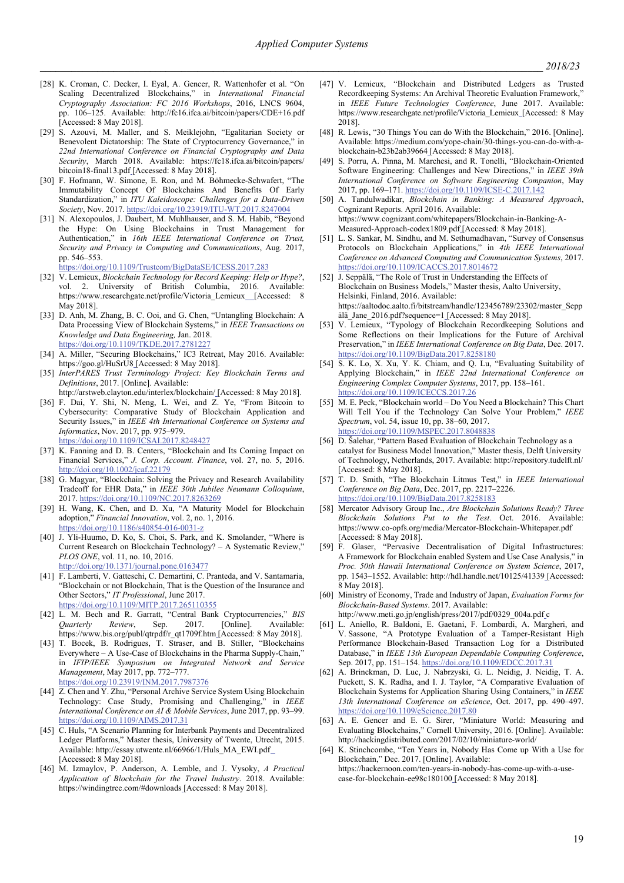- [28] K. Croman, C. Decker, I. Eyal, A. Gencer, R. Wattenhofer et al. "On Scaling Decentralized Blockchains," in *International Financial Cryptography Association: FC 2016 Workshops*, 2016, LNCS 9604, pp. 106–125. Available: http://fc16.ifca.ai/bitcoin/papers/CDE+16.pdf [Accessed: 8 May 2018].
- [29] S. Azouvi, M. Maller, and S. Meiklejohn, "Egalitarian Society or Benevolent Dictatorship: The State of Cryptocurrency Governance," in *22nd International Conference on Financial Cryptography and Data Security*, March 2018. Available: https://fc18.ifca.ai/bitcoin/papers/ bitcoin18-final13.pdf [Accessed: 8 May 2018].
- [30] F. Hofmann, W. Simone, E. Ron, and M. Böhmecke-Schwafert, "The Immutability Concept Of Blockchains And Benefits Of Early Standardization," in *ITU Kaleidoscope: Challenges for a Data-Driven Society*, Nov. 2017. https://doi.org/10.23919/ITU-WT.2017.8247004
- [31] N. Alexopoulos, J. Daubert, M. Muhlhauser, and S. M. Habib, "Beyond the Hype: On Using Blockchains in Trust Management for Authentication," in *16th IEEE International Conference on Trust, Security and Privacy in Computing and Communications*, Aug. 2017, pp. 546–553.

https://doi.org/10.1109/Trustcom/BigDataSE/ICESS.2017.283

- [32] V. Lemieux, *Blockchain Technology for Record Keeping: Help or Hype?*, vol. 2. University of British Columbia, 2016. Available: https://www.researchgate.net/profile/Victoria\_Lemieux [Accessed: 8 May 2018].
- [33] D. Anh, M. Zhang, B. C. Ooi, and G. Chen, "Untangling Blockchain: A Data Processing View of Blockchain Systems," in *IEEE Transactions on Knowledge and Data Engineering,* Jan. 2018. https://doi.org/10.1109/TKDE.2017.2781227
- [34] A. Miller, "Securing Blockchains," IC3 Retreat, May 2016. Available: https://goo.gl/HuSrU8 [Accessed: 8 May 2018].
- [35] *InterPARES Trust Terminology Project: Key Blockchain Terms and Definitions*, 2017. [Online]. Available:
- http://arstweb.clayton.edu/interlex/blockchain/ [Accessed: 8 May 2018]. [36] F. Dai, Y. Shi, N. Meng, L. Wei, and Z. Ye, "From Bitcoin to Cybersecurity: Comparative Study of Blockchain Application and Security Issues," in *IEEE 4th International Conference on Systems and Informatics*, Nov. 2017, pp. 975–979. https://doi.org/10.1109/ICSAI.2017.8248427
- [37] K. Fanning and D. B. Centers, "Blockchain and Its Coming Impact on Financial Services," *J. Corp. Account. Finance*, vol. 27, no. 5, 2016. http://doi.org/10.1002/jcaf.22179
- [38] G. Magyar, "Blockchain: Solving the Privacy and Research Availability Tradeoff for EHR Data," in *IEEE 30th Jubilee Neumann Colloquium*, 2017. https://doi.org/10.1109/NC.2017.8263269
- [39] H. Wang, K. Chen, and D. Xu, "A Maturity Model for Blockchain adoption," *Financial Innovation*, vol. 2, no. 1, 2016. https://doi.org/10.1186/s40854-016-0031-z
- [40] J. Yli-Huumo, D. Ko, S. Choi, S. Park, and K. Smolander, "Where is Current Research on Blockchain Technology? – A Systematic Review," *PLOS ONE*, vol. 11, no. 10, 2016. http://doi.org/10.1371/journal.pone.0163477
- [41] F. Lamberti, V. Gatteschi, C. Demartini, C. Pranteda, and V. Santamaria, "Blockchain or not Blockchain, That is the Question of the Insurance and Other Sectors," *IT Professional*, June 2017. https://doi.org/10.1109/MITP.2017.265110355
- [42] L. M. Bech and R. Garratt, "Central Bank Cryptocurrencies," *BIS Quarterly Review*, Sep. 2017. [Online]. https://www.bis.org/publ/qtrpdf/r\_qt1709f.htm [Accessed: 8 May 2018].
- [43] T. Bocek, B. Rodrigues, T. Straser, and B. Stiller, "Blockchains Everywhere – A Use-Case of Blockchains in the Pharma Supply-Chain," in *IFIP/IEEE Symposium on Integrated Network and Service Management*, May 2017, pp. 772–777. https://doi.org/10.23919/INM.2017.7987376
- [44] Z. Chen and Y. Zhu, "Personal Archive Service System Using Blockchain Technology: Case Study, Promising and Challenging," in *IEEE International Conference on AI & Mobile Services*, June 2017, pp. 93–99. https://doi.org/10.1109/AIMS.2017.31
- [45] C. Huls, "A Scenario Planning for Interbank Payments and Decentralized Ledger Platforms," Master thesis, University of Twente, Utrecht, 2015. Available: http://essay.utwente.nl/66966/1/Huls\_MA\_EWI.pdf [Accessed: 8 May 2018].
- [46] M. Izmaylov, P. Anderson, A. Lemble, and J. Vysoky, *A Practical Application of Blockchain for the Travel Industry*. 2018. Available: https://windingtree.com/#downloads [Accessed: 8 May 2018].
- [47] V. Lemieux, "Blockchain and Distributed Ledgers as Trusted Recordkeeping Systems: An Archival Theoretic Evaluation Framework," in *IEEE Future Technologies Conference*, June 2017. Available: https://www.researchgate.net/profile/Victoria\_Lemieux [Accessed: 8 May 2018].
- [48] R. Lewis, "30 Things You can do With the Blockchain," 2016. [Online]. Available: https://medium.com/yope-chain/30-things-you-can-do-with-ablockchain-b23b2ab39664 [Accessed: 8 May 2018].
- [49] S. Porru, A. Pinna, M. Marchesi, and R. Tonelli, "Blockchain-Oriented Software Engineering: Challenges and New Directions," in *IEEE 39th International Conference on Software Engineering Companion*, May 2017, pp. 169–171. https://doi.org/10.1109/ICSE-C.2017.142
- [50] A. Tandulwadikar, *Blockchain in Banking: A Measured Approach*, Cognizant Reports. April 2016. Available: https://www.cognizant.com/whitepapers/Blockchain-in-Banking-A-Measured-Approach-codex1809.pdf [Accessed: 8 May 2018].
- [51] L. S. Sankar, M. Sindhu, and M. Sethumadhavan, "Survey of Consensus Protocols on Blockchain Applications," in *4th IEEE International Conference on Advanced Computing and Communication Systems*, 2017. https://doi.org/10.1109/ICACCS.2017.8014672
- [52] J. Seppälä, "The Role of Trust in Understanding the Effects of Blockchain on Business Models," Master thesis, Aalto University, Helsinki, Finland, 2016. Available: https://aaltodoc.aalto.fi/bitstream/handle/123456789/23302/master\_Sepp älä\_Jane\_2016.pdf?sequence=1 [Accessed: 8 May 2018].
- [53] V. Lemieux, "Typology of Blockchain Recordkeeping Solutions and Some Reflections on their Implications for the Future of Archival Preservation," in *IEEE International Conference on Big Data*, Dec. 2017. https://doi.org/10.1109/BigData.2017.8258180
- [54] S. K. Lo, X. Xu, Y. K. Chiam, and Q. Lu, "Evaluating Suitability of Applying Blockchain," in *IEEE 22nd International Conference on Engineering Complex Computer Systems*, 2017, pp. 158–161. https://doi.org/10.1109/ICECCS.2017.26
- [55] M. E. Peck, "Blockchain world Do You Need a Blockchain? This Chart Will Tell You if the Technology Can Solve Your Problem," *IEEE Spectrum*, vol. 54, issue 10, pp. 38–60, 2017. https://doi.org/10.1109/MSPEC.2017.8048838
- [56] D. Šalehar, "Pattern Based Evaluation of Blockchain Technology as a catalyst for Business Model Innovation," Master thesis, Delft University of Technology, Netherlands, 2017. Available: http://repository.tudelft.nl/ [Accessed: 8 May 2018].
- [57] T. D. Smith, "The Blockchain Litmus Test," in *IEEE International Conference on Big Data*, Dec. 2017, pp. 2217–2226. https://doi.org/10.1109/BigData.2017.8258183
- [58] Mercator Advisory Group Inc., *Are Blockchain Solutions Ready? Three Blockchain Solutions Put to the Test*. Oct. 2016. Available: https://www.co-opfs.org/media/Mercator-Blockchain-Whitepaper.pdf [Accessed: 8 May 2018].
- [59] F. Glaser, "Pervasive Decentralisation of Digital Infrastructures: A Framework for Blockchain enabled System and Use Case Analysis," in *Proc. 50th Hawaii International Conference on System Science*, 2017, pp. 1543–1552. Available: http://hdl.handle.net/10125/41339 [Accessed: 8 May 2018].
- [60] Ministry of Economy, Trade and Industry of Japan, *Evaluation Forms for Blockchain-Based Systems*. 2017. Available:
	- http://www.meti.go.jp/english/press/2017/pdf/0329\_004a.pdf c
- [61] L. Aniello, R. Baldoni, E. Gaetani, F. Lombardi, A. Margheri, and V. Sassone, "A Prototype Evaluation of a Tamper-Resistant High Performance Blockchain-Based Transaction Log for a Distributed Database," in *IEEE 13th European Dependable Computing Conference*, Sep. 2017, pp. 151–154. https://doi.org/10.1109/EDCC.2017.31
- [62] A. Brinckman, D. Luc, J. Nabrzyski, G. L. Neidig, J. Neidig, T. A. Puckett, S. K. Radha, and I. J. Taylor, "A Comparative Evaluation of Blockchain Systems for Application Sharing Using Containers," in *IEEE 13th International Conference on eScience*, Oct. 2017, pp. 490–497. https://doi.org/10.1109/eScience.2017.80
- [63] A. E. Gencer and E. G. Sirer, "Miniature World: Measuring and Evaluating Blockchains," Cornell University, 2016. [Online]. Available: http://hackingdistributed.com/2017/02/10/miniature-world/
- [64] K. Stinchcombe, "Ten Years in, Nobody Has Come up With a Use for Blockchain," Dec. 2017. [Online]. Available: https://hackernoon.com/ten-years-in-nobody-has-come-up-with-a-usecase-for-blockchain-ee98c180100 [Accessed: 8 May 2018].